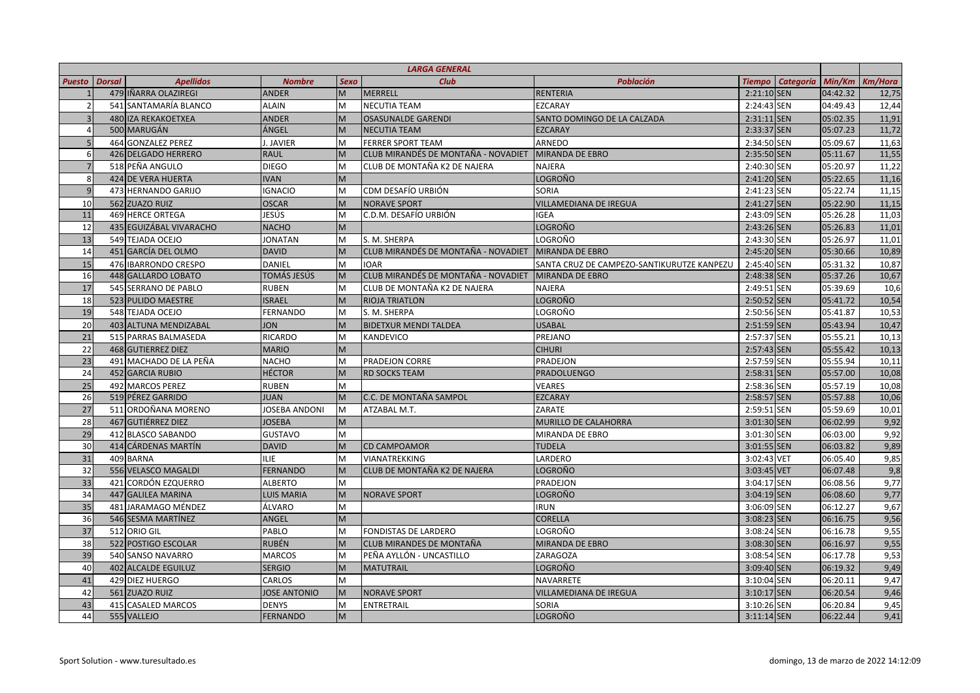| <b>LARGA GENERAL</b> |               |                         |                     |             |                                     |                                            |               |                  |          |                |
|----------------------|---------------|-------------------------|---------------------|-------------|-------------------------------------|--------------------------------------------|---------------|------------------|----------|----------------|
| <b>Puesto</b>        | <b>Dorsal</b> | <b>Apellidos</b>        | <b>Nombre</b>       | <b>Sexo</b> | <b>Club</b>                         | <b>Población</b>                           | <b>Tiempo</b> | <b>Categoría</b> | Min/Km   | <b>Km/Hora</b> |
|                      |               | 479 IÑARRA OLAZIREGI    | <b>ANDER</b>        | M           | <b>MERRELL</b>                      | <b>RENTERIA</b>                            | 2:21:10 SEN   |                  | 04:42.32 | 12,75          |
|                      |               | 541 SANTAMARÍA BLANCO   | <b>ALAIN</b>        | M           | <b>NECUTIA TEAM</b>                 | EZCARAY                                    | 2:24:43 SEN   |                  | 04:49.43 | 12,44          |
|                      |               | 480 IZA REKAKOETXEA     | <b>ANDER</b>        | M           | <b>OSASUNALDE GARENDI</b>           | SANTO DOMINGO DE LA CALZADA                | 2:31:11 SEN   |                  | 05:02.35 | 11,91          |
|                      |               | 500 MARUGÁN             | ÁNGEL               | M           | <b>NECUTIA TEAM</b>                 | <b>EZCARAY</b>                             | 2:33:37 SEN   |                  | 05:07.23 | 11,72          |
|                      |               | 464 GONZALEZ PEREZ      | J. JAVIER           | M           | <b>FERRER SPORT TEAM</b>            | ARNEDO                                     | 2:34:50 SEN   |                  | 05:09.67 | 11,63          |
| 6                    |               | 426 DELGADO HERRERO     | <b>RAUL</b>         | M           | CLUB MIRANDÉS DE MONTAÑA - NOVADIET | MIRANDA DE EBRO                            | 2:35:50 SEN   |                  | 05:11.67 | 11,55          |
|                      |               | 518 PEÑA ANGULO         | <b>DIEGO</b>        | M           | CLUB DE MONTAÑA K2 DE NAJERA        | <b>NAJERA</b>                              | 2:40:30 SEN   |                  | 05:20.97 | 11,22          |
|                      |               | 424 DE VERA HUERTA      | <b>IVAN</b>         | M           |                                     | LOGROÑO                                    | 2:41:20 SEN   |                  | 05:22.65 | 11,16          |
| $\mathbf{q}$         |               | 473 HERNANDO GARIJO     | <b>IGNACIO</b>      | M           | CDM DESAFÍO URBIÓN                  | SORIA                                      | 2:41:23 SEN   |                  | 05:22.74 | 11,15          |
| 10                   |               | 562 ZUAZO RUIZ          | <b>OSCAR</b>        | M           | <b>NORAVE SPORT</b>                 | <b>VILLAMEDIANA DE IREGUA</b>              | 2:41:27 SEN   |                  | 05:22.90 | 11,15          |
| 11                   |               | <b>469 HERCE ORTEGA</b> | JESÚS               | M           | C.D.M. DESAFÍO URBIÓN               | <b>IGEA</b>                                | 2:43:09 SEN   |                  | 05:26.28 | 11,03          |
| 12                   |               | 435 EGUIZÁBAL VIVARACHO | <b>NACHO</b>        | M           |                                     | LOGROÑO                                    | 2:43:26 SEN   |                  | 05:26.83 | 11,01          |
| 13                   |               | 549 TEJADA OCEJO        | <b>JONATAN</b>      | M           | S. M. SHERPA                        | LOGROÑO                                    | 2:43:30 SEN   |                  | 05:26.97 | 11,01          |
| 14                   |               | 451 GARCÍA DEL OLMO     | <b>DAVID</b>        | M           | CLUB MIRANDÉS DE MONTAÑA - NOVADIET | MIRANDA DE EBRO                            | 2:45:20 SEN   |                  | 05:30.66 | 10,89          |
| 15                   |               | 476 IBARRONDO CRESPO    | DANIEL              | M           | <b>IOAR</b>                         | SANTA CRUZ DE CAMPEZO-SANTIKURUTZE KANPEZU | 2:45:40 SEN   |                  | 05:31.32 | 10,87          |
| 16                   |               | 448 GALLARDO LOBATO     | TOMÁS JESÚS         | M           | CLUB MIRANDÉS DE MONTAÑA - NOVADIET | MIRANDA DE EBRO                            | 2:48:38 SEN   |                  | 05:37.26 | 10,67          |
| 17                   |               | 545 SERRANO DE PABLO    | <b>RUBEN</b>        | M           | CLUB DE MONTAÑA K2 DE NAJERA        | <b>NAJERA</b>                              | 2:49:51 SEN   |                  | 05:39.69 | 10,6           |
| 18                   |               | 523 PULIDO MAESTRE      | <b>ISRAEL</b>       | M           | <b>RIOJA TRIATLON</b>               | <b>LOGROÑO</b>                             | 2:50:52 SEN   |                  | 05:41.72 | 10,54          |
| 19                   |               | 548 TEJADA OCEJO        | <b>FERNANDO</b>     | M           | S. M. SHERPA                        | LOGROÑO                                    | 2:50:56 SEN   |                  | 05:41.87 | 10,53          |
| 20                   |               | 403 ALTUNA MENDIZABAL   | <b>JON</b>          | M           | <b>BIDETXUR MENDI TALDEA</b>        | <b>USABAL</b>                              | 2:51:59 SEN   |                  | 05:43.94 | 10,47          |
| 21                   |               | 515 PARRAS BALMASEDA    | RICARDO             | M           | KANDEVICO                           | PREJANO                                    | 2:57:37 SEN   |                  | 05:55.21 | 10,13          |
| 22                   |               | 468 GUTIERREZ DIEZ      | <b>MARIO</b>        | M           |                                     | <b>CIHURI</b>                              | 2:57:43 SEN   |                  | 05:55.42 | 10,13          |
| 23                   |               | 491 MACHADO DE LA PEÑA  | <b>NACHO</b>        | M           | PRADEJON CORRE                      | PRADEJON                                   | 2:57:59 SEN   |                  | 05:55.94 | 10,11          |
| 24                   |               | 452 GARCIA RUBIO        | <b>HÉCTOR</b>       | M           | <b>RD SOCKS TEAM</b>                | <b>PRADOLUENGO</b>                         | 2:58:31 SEN   |                  | 05:57.00 | 10,08          |
| 25                   |               | 492 MARCOS PEREZ        | <b>RUBEN</b>        | M           |                                     | <b>VEARES</b>                              | 2:58:36 SEN   |                  | 05:57.19 | 10,08          |
| 26                   |               | 519 PÉREZ GARRIDO       | <b>JUAN</b>         | M           | C.C. DE MONTAÑA SAMPOL              | EZCARAY                                    | 2:58:57 SEN   |                  | 05:57.88 | 10,06          |
| 27                   |               | 511 ORDOÑANA MORENO     | JOSEBA ANDONI       | M           | ATZABAL M.T.                        | ZARATE                                     | 2:59:51 SEN   |                  | 05:59.69 | 10,01          |
| 28                   |               | 467 GUTIÉRREZ DIEZ      | <b>JOSEBA</b>       | M           |                                     | MURILLO DE CALAHORRA                       | 3:01:30 SEN   |                  | 06:02.99 | 9,92           |
| 29                   |               | 412 BLASCO SABANDO      | <b>GUSTAVO</b>      | M           |                                     | MIRANDA DE EBRO                            | 3:01:30 SEN   |                  | 06:03.00 | 9,92           |
| 30                   |               | 414 CÁRDENAS MARTÍN     | <b>DAVID</b>        | M           | <b>CD CAMPOAMOR</b>                 | <b>TUDELA</b>                              | 3:01:55 SEN   |                  | 06:03.82 | 9,89           |
| 31                   |               | 409 BARNA               | ILIE.               | M           | <b>VIANATREKKING</b>                | LARDERO                                    | 3:02:43 VET   |                  | 06:05.40 | 9,85           |
| 32                   |               | 556 VELASCO MAGALDI     | <b>FERNANDO</b>     | M           | CLUB DE MONTAÑA K2 DE NAJERA        | LOGROÑO                                    | 3:03:45 VET   |                  | 06:07.48 | 9,8            |
| 33                   |               | 421 CORDÓN EZQUERRO     | <b>ALBERTO</b>      | M           |                                     | PRADEJON                                   | 3:04:17 SEN   |                  | 06:08.56 | 9,77           |
| 34                   |               | 447 GALILEA MARINA      | <b>LUIS MARIA</b>   | M           | <b>NORAVE SPORT</b>                 | <b>LOGROÑO</b>                             | 3:04:19 SEN   |                  | 06:08.60 | 9,77           |
| 35                   |               | 481 JARAMAGO MÉNDEZ     | ÁLVARO              | M           |                                     | <b>IRUN</b>                                | 3:06:09 SEN   |                  | 06:12.27 | 9,67           |
| 36                   |               | 546 SESMA MARTÍNEZ      | ANGEL               | M           |                                     | <b>CORELLA</b>                             | 3:08:23 SEN   |                  | 06:16.75 | 9,56           |
| 37                   |               | 512 ORIO GIL            | PABLO               | M           | FONDISTAS DE LARDERO                | LOGROÑO                                    | 3:08:24 SEN   |                  | 06:16.78 | 9,55           |
| 38                   |               | 522 POSTIGO ESCOLAR     | <b>RUBÉN</b>        | M           | CLUB MIRANDES DE MONTAÑA            | <b>MIRANDA DE EBRO</b>                     | 3:08:30 SEN   |                  | 06:16.97 | 9,55           |
| 39                   |               | 540 SANSO NAVARRO       | <b>MARCOS</b>       | M           | PEÑA AYLLÓN - UNCASTILLO            | ZARAGOZA                                   | 3:08:54 SEN   |                  | 06:17.78 | 9,53           |
| 40                   |               | 402 ALCALDE EGUILUZ     | <b>SERGIO</b>       | M           | <b>MATUTRAIL</b>                    | LOGROÑO                                    | 3:09:40 SEN   |                  | 06:19.32 | 9,49           |
| 41                   |               | 429 DIEZ HUERGO         | CARLOS              | M           |                                     | NAVARRETE                                  | 3:10:04 SEN   |                  | 06:20.11 | 9,47           |
| 42                   |               | 561 ZUAZO RUIZ          | <b>JOSE ANTONIO</b> | M           | <b>NORAVE SPORT</b>                 | VILLAMEDIANA DE IREGUA                     | 3:10:17 SEN   |                  | 06:20.54 | 9,46           |
| 43                   |               | 415 CASALED MARCOS      | <b>DENYS</b>        | M           | <b>ENTRETRAIL</b>                   | SORIA                                      | 3:10:26 SEN   |                  | 06:20.84 | 9,45           |
| 44                   |               | 555 VALLEJO             | <b>FERNANDO</b>     | M           |                                     | <b>LOGROÑO</b>                             | 3:11:14 SEN   |                  | 06:22.44 | 9,41           |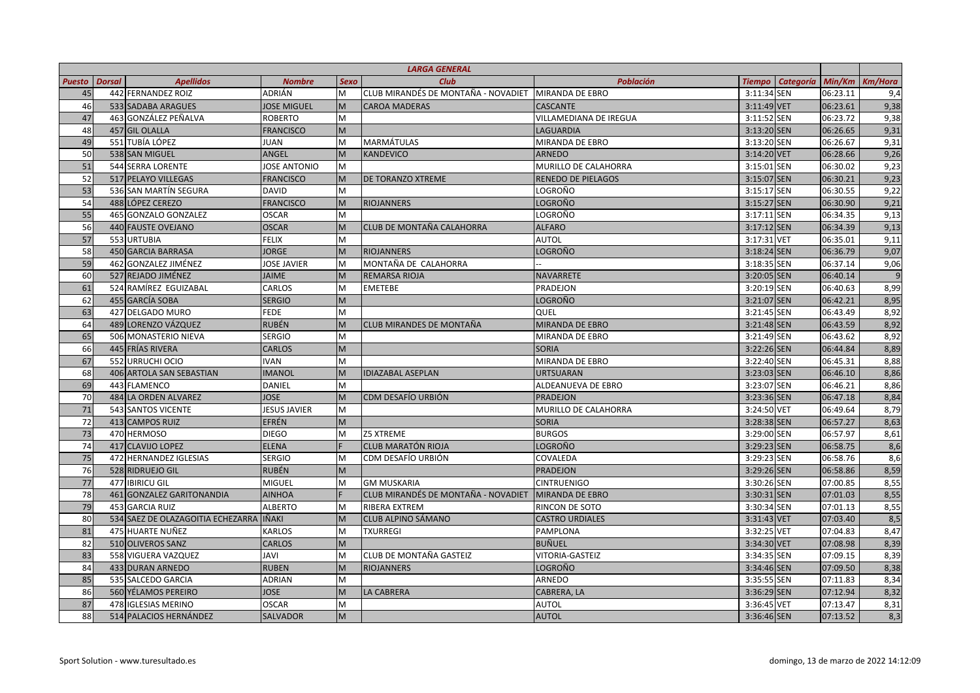| <b>LARGA GENERAL</b> |               |                                   |                     |             |                                     |                             |                                   |          |                |
|----------------------|---------------|-----------------------------------|---------------------|-------------|-------------------------------------|-----------------------------|-----------------------------------|----------|----------------|
| <b>Puesto</b>        | <b>Dorsal</b> | <b>Apellidos</b>                  | <b>Nombre</b>       | <b>Sexo</b> | <b>Club</b>                         | <b>Población</b>            | <b>Categoría</b><br><b>Tiempo</b> |          | Min/Km Km/Hora |
| 45                   |               | 442 FERNANDEZ ROIZ                | ADRIÁN              | M           | CLUB MIRANDÉS DE MONTAÑA - NOVADIET | MIRANDA DE EBRO             | 3:11:34 SEN                       | 06:23.11 | 9,4            |
| 46                   |               | 533 SADABA ARAGUES                | <b>JOSE MIGUEL</b>  | M           | <b>CAROA MADERAS</b>                | <b>CASCANTE</b>             | 3:11:49 VET                       | 06:23.61 | 9,38           |
| 47                   |               | 463 GONZÁLEZ PEÑALVA              | <b>ROBERTO</b>      | M           |                                     | VILLAMEDIANA DE IREGUA      | 3:11:52 SEN                       | 06:23.72 | 9,38           |
| 48                   |               | 457 GIL OLALLA                    | <b>FRANCISCO</b>    | M           |                                     | LAGUARDIA                   | 3:13:20 SEN                       | 06:26.65 | 9,31           |
| 49                   |               | 551 TUBÍA LÓPEZ                   | <b>JUAN</b>         | M           | <b>MARMÁTULAS</b>                   | MIRANDA DE EBRO             | 3:13:20 SEN                       | 06:26.67 | 9,31           |
| 50                   |               | 538 SAN MIGUEL                    | ANGEL               | M           | <b>KANDEVICO</b>                    | <b>ARNEDO</b>               | 3:14:20 VET                       | 06:28.66 | 9,26           |
| 51                   |               | 544 SERRA LORENTE                 | <b>JOSE ANTONIO</b> | M           |                                     | <b>MURILLO DE CALAHORRA</b> | 3:15:01 SEN                       | 06:30.02 | 9,23           |
| 52                   |               | 517 PELAYO VILLEGAS               | <b>FRANCISCO</b>    | M           | <b>DE TORANZO XTREME</b>            | <b>RENEDO DE PIELAGOS</b>   | 3:15:07 SEN                       | 06:30.21 | 9,23           |
| 53                   |               | 536 SAN MARTÍN SEGURA             | <b>DAVID</b>        | M           |                                     | LOGROÑO                     | 3:15:17 SEN                       | 06:30.55 | 9,22           |
| 54                   |               | 488 LÓPEZ CEREZO                  | <b>FRANCISCO</b>    | M           | <b>RIOJANNERS</b>                   | <b>LOGROÑO</b>              | 3:15:27 SEN                       | 06:30.90 | 9,21           |
| 55                   |               | 465 GONZALO GONZALEZ              | <b>OSCAR</b>        | M           |                                     | LOGROÑO                     | 3:17:11 SEN                       | 06:34.35 | 9,13           |
| 56                   |               | 440 FAUSTE OVEJANO                | <b>OSCAR</b>        | M           | <b>CLUB DE MONTAÑA CALAHORRA</b>    | <b>ALFARO</b>               | 3:17:12 SEN                       | 06:34.39 | 9,13           |
| 57                   |               | 553 URTUBIA                       | <b>FELIX</b>        | M           |                                     | <b>AUTOL</b>                | 3:17:31 VET                       | 06:35.01 | 9,11           |
| 58                   |               | 450 GARCIA BARRASA                | <b>JORGE</b>        | M           | <b>RIOJANNERS</b>                   | <b>LOGROÑO</b>              | 3:18:24 SEN                       | 06:36.79 | 9,07           |
| 59                   |               | 462 GONZALEZ JIMÉNEZ              | <b>JOSE JAVIER</b>  | M           | MONTAÑA DE CALAHORRA                |                             | 3:18:35 SEN                       | 06:37.14 | 9,06           |
| 60                   |               | 527 REJADO JIMÉNEZ                | <b>JAIME</b>        | M           | <b>REMARSA RIOJA</b>                | NAVARRETE                   | 3:20:05 SEN                       | 06:40.14 | $\mathbf{q}$   |
| 61                   |               | 524 RAMÍREZ EGUIZABAL             | CARLOS              | M           | <b>EMETEBE</b>                      | PRADEJON                    | 3:20:19 SEN                       | 06:40.63 | 8,99           |
| 62                   |               | 455 GARCÍA SOBA                   | <b>SERGIO</b>       | M           |                                     | <b>LOGROÑO</b>              | 3:21:07 SEN                       | 06:42.21 | 8,95           |
| 63                   |               | 427 DELGADO MURO                  | <b>FEDE</b>         | M           |                                     | QUEL                        | 3:21:45 SEN                       | 06:43.49 | 8,92           |
| 64                   |               | 489 LORENZO VÁZQUEZ               | <b>RUBÉN</b>        | M           | CLUB MIRANDES DE MONTAÑA            | <b>MIRANDA DE EBRO</b>      | 3:21:48 SEN                       | 06:43.59 | 8,92           |
| 65                   |               | 506 MONASTERIO NIEVA              | <b>SERGIO</b>       | м           |                                     | <b>MIRANDA DE EBRO</b>      | 3:21:49 SEN                       | 06:43.62 | 8,92           |
| 66                   |               | 445 FRÍAS RIVERA                  | <b>CARLOS</b>       | M           |                                     | <b>SORIA</b>                | 3:22:26 SEN                       | 06:44.84 | 8,89           |
| 67                   |               | 552 URRUCHI OCIO                  | <b>IVAN</b>         | M           |                                     | MIRANDA DE EBRO             | 3:22:40 SEN                       | 06:45.31 | 8,88           |
| 68                   |               | 406 ARTOLA SAN SEBASTIAN          | <b>IMANOL</b>       | M           | <b>IDIAZABAL ASEPLAN</b>            | <b>URTSUARAN</b>            | 3:23:03 SEN                       | 06:46.10 | 8,86           |
| 69                   |               | 443 FLAMENCO                      | <b>DANIEL</b>       | M           |                                     | ALDEANUEVA DE EBRO          | 3:23:07 SEN                       | 06:46.21 | 8,86           |
| 70                   |               | 484 LA ORDEN ALVAREZ              | <b>JOSE</b>         | M           | CDM DESAFÍO URBIÓN                  | <b>PRADEJON</b>             | 3:23:36 SEN                       | 06:47.18 | 8,84           |
| 71                   |               | 543 SANTOS VICENTE                | <b>JESUS JAVIER</b> | M           |                                     | MURILLO DE CALAHORRA        | 3:24:50 VET                       | 06:49.64 | 8,79           |
| 72                   |               | 413 CAMPOS RUIZ                   | EFRÉN               | M           |                                     | <b>SORIA</b>                | 3:28:38 SEN                       | 06:57.27 | 8,63           |
| 73                   |               | 470 HERMOSO                       | <b>DIEGO</b>        | M           | <b>Z5 XTREME</b>                    | <b>BURGOS</b>               | 3:29:00 SEN                       | 06:57.97 | 8,61           |
| 74                   |               | 417 CLAVIJO LOPEZ                 | <b>ELENA</b>        |             | <b>CLUB MARATÓN RIOJA</b>           | LOGROÑO                     | 3:29:23 SEN                       | 06:58.75 | 8,6            |
| 75                   |               | 472 HERNANDEZ IGLESIAS            | <b>SERGIO</b>       | M           | CDM DESAFÍO URBIÓN                  | COVALEDA                    | 3:29:23 SEN                       | 06:58.76 | 8,6            |
| 76                   |               | 528 RIDRUEJO GIL                  | <b>RUBÉN</b>        | M           |                                     | PRADEJON                    | 3:29:26 SEN                       | 06:58.86 | 8,59           |
| 77                   |               | 477 IBIRICU GIL                   | <b>MIGUEL</b>       | M           | <b>GM MUSKARIA</b>                  | <b>CINTRUENIGO</b>          | 3:30:26 SEN                       | 07:00.85 | 8,55           |
| 78                   |               | 461 GONZALEZ GARITONANDIA         | <b>AINHOA</b>       |             | CLUB MIRANDÉS DE MONTAÑA - NOVADIET | MIRANDA DE EBRO             | 3:30:31 SEN                       | 07:01.03 | 8,55           |
| 79                   |               | 453 GARCIA RUIZ                   | <b>ALBERTO</b>      | M           | RIBERA EXTREM                       | RINCON DE SOTO              | 3:30:34 SEN                       | 07:01.13 | 8,55           |
| 80                   |               | 534 SAEZ DE OLAZAGOITIA ECHEZARRA | <b>IÑAKI</b>        | M           | CLUB ALPINO SÁMANO                  | <b>CASTRO URDIALES</b>      | 3:31:43 VET                       | 07:03.40 | 8,5            |
| 81                   |               | 475 HUARTE NUÑEZ                  | <b>KARLOS</b>       | M           | <b>TXURREGI</b>                     | PAMPLONA                    | 3:32:25 VET                       | 07:04.83 | 8,47           |
| 82                   |               | 510 OLIVEROS SANZ                 | <b>CARLOS</b>       | M           |                                     | <b>BUÑUEL</b>               | 3:34:30 VET                       | 07:08.98 | 8,39           |
| 83                   |               | 558 VIGUERA VAZQUEZ               | JAVI                | M           | CLUB DE MONTAÑA GASTEIZ             | VITORIA-GASTEIZ             | 3:34:35 SEN                       | 07:09.15 | 8,39           |
| 84                   |               | 433 DURAN ARNEDO                  | <b>RUBEN</b>        | M           | <b>RIOJANNERS</b>                   | LOGROÑO                     | 3:34:46 SEN                       | 07:09.50 | 8,38           |
| 85                   |               | 535 SALCEDO GARCIA                | <b>ADRIAN</b>       | м           |                                     | ARNEDO                      | 3:35:55 SEN                       | 07:11.83 | 8,34           |
| 86                   |               | 560 YÉLAMOS PEREIRO               | <b>JOSE</b>         | M           | <b>LA CABRERA</b>                   | CABRERA, LA                 | 3:36:29 SEN                       | 07:12.94 | 8,32           |
| 87                   |               | <b>478 IGLESIAS MERINO</b>        | <b>OSCAR</b>        | M           |                                     | <b>AUTOL</b>                | 3:36:45 VET                       | 07:13.47 | 8,31           |
| 88                   |               | 514 PALACIOS HERNÁNDEZ            | <b>SALVADOR</b>     | M           |                                     | <b>AUTOL</b>                | 3:36:46 SEN                       | 07:13.52 | 8,3            |
|                      |               |                                   |                     |             |                                     |                             |                                   |          |                |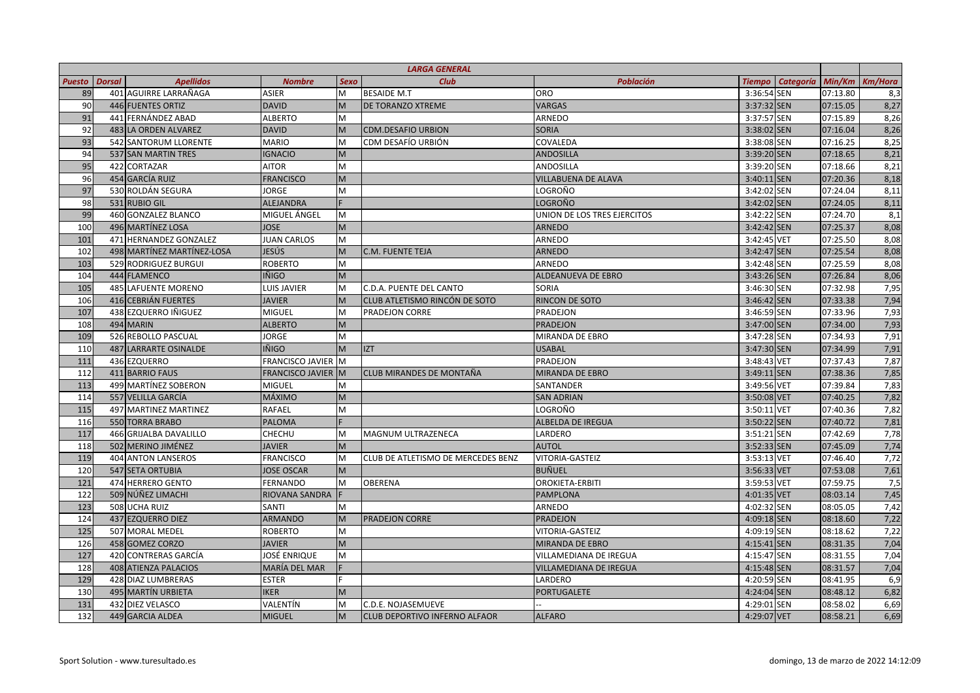| <b>Dorsal</b><br><b>Apellidos</b><br><b>Club</b><br><b>Población</b><br><b>Categoría</b><br>Min/Km<br><b>Puesto</b><br><b>Nombre</b><br><b>Sexo</b><br><b>Tiempo</b><br>89<br>401 AGUIRRE LARRAÑAGA<br>3:36:54 SEN<br><b>ASIER</b><br>M<br><b>BESAIDE M.T</b><br><b>ORO</b><br>07:13.80<br>90<br><b>DAVID</b><br><b>DE TORANZO XTREME</b><br><b>VARGAS</b><br>3:37:32 SEN<br>07:15.05<br>446 FUENTES ORTIZ<br>M<br>91<br>441 FERNÁNDEZ ABAD<br><b>ALBERTO</b><br>M<br>3:37:57 SEN<br>07:15.89<br>ARNEDO<br>92<br><b>DAVID</b><br><b>SORIA</b><br>3:38:02 SEN<br>07:16.04<br>483 LA ORDEN ALVAREZ<br>M<br><b>CDM.DESAFIO URBION</b><br>3:38:08 SEN<br>93<br>542 SANTORUM LLORENTE<br><b>MARIO</b><br>M<br>CDM DESAFÍO URBIÓN<br>COVALEDA<br>07:16.25<br>94<br>537 SAN MARTIN TRES<br><b>IGNACIO</b><br>M<br><b>ANDOSILLA</b><br>3:39:20 SEN<br>07:18.65<br>95<br><b>AITOR</b><br>M<br>3:39:20 SEN<br>422 CORTAZAR<br><b>ANDOSILLA</b><br>07:18.66<br>454 GARCÍA RUIZ<br><b>FRANCISCO</b><br>3:40:11 SEN<br>96<br>M<br><b>VILLABUENA DE ALAVA</b><br>07:20.36<br>97<br>530 ROLDÁN SEGURA<br><b>JORGE</b><br>3:42:02 SEN<br>M<br>LOGROÑO<br>07:24.04<br>LOGROÑO<br>3:42:02 SEN<br>98<br>531 RUBIO GIL<br><b>ALEJANDRA</b><br>07:24.05<br>99<br>MIGUEL ÁNGEL<br>460 GONZALEZ BLANCO<br>M<br>UNION DE LOS TRES EJERCITOS<br>3:42:22 SEN<br>07:24.70<br>100<br>M<br>3:42:42 SEN<br>07:25.37<br>496 MARTÍNEZ LOSA<br><b>JOSE</b><br><b>ARNEDO</b><br>101<br>471 HERNANDEZ GONZALEZ<br><b>JUAN CARLOS</b><br>ARNEDO<br>3:42:45 VET<br>07:25.50<br>M<br>102<br>498 MARTÍNEZ MARTÍNEZ-LOSA<br>JESÚS<br><b>ARNEDO</b><br>3:42:47 SEN<br>07:25.54<br>M<br><b>C.M. FUENTE TEJA</b><br>103<br>529 RODRIGUEZ BURGUI<br><b>ROBERTO</b><br>ARNEDO<br>3:42:48 SEN<br>07:25.59<br>M<br>104<br>444 FLAMENCO<br><b>IÑIGO</b><br>M<br><b>ALDEANUEVA DE EBRO</b><br>3:43:26 SEN<br>07:26.84<br>105<br>3:46:30 SEN<br><b>485 LAFUENTE MORENO</b><br>LUIS JAVIER<br>M<br>C.D.A. PUENTE DEL CANTO<br>SORIA<br>07:32.98<br>RINCON DE SOTO<br>106<br>416 CEBRIÁN FUERTES<br><b>JAVIER</b><br>CLUB ATLETISMO RINCÓN DE SOTO<br>3:46:42 SEN<br>07:33.38<br>M<br>107<br>438 EZQUERRO IÑIGUEZ<br><b>MIGUEL</b><br>M<br>PRADEJON<br>3:46:59 SEN<br>07:33.96<br><b>PRADEJON CORRE</b><br>494 MARIN<br><b>ALBERTO</b><br>3:47:00 SEN<br>07:34.00<br>108<br>M<br><b>PRADEJON</b><br>109<br>526 REBOLLO PASCUAL<br><b>JORGE</b><br>M<br>MIRANDA DE EBRO<br>3:47:28 SEN<br>07:34.93<br>110<br>487 LARRARTE OSINALDE<br><b>IÑIGO</b><br>M<br><b>IZT</b><br><b>USABAL</b><br>3:47:30 SEN<br>07:34.99<br>111<br><b>FRANCISCO JAVIER</b><br>PRADEJON<br>3:48:43 VET<br>07:37.43<br>436 EZQUERRO<br>M<br>112<br>411 BARRIO FAUS<br>FRANCISCO JAVIER M<br><b>CLUB MIRANDES DE MONTAÑA</b><br>MIRANDA DE EBRO<br>3:49:11 SEN<br>07:38.36<br>499 MARTÍNEZ SOBERON<br>113<br><b>MIGUEL</b><br>SANTANDER<br>3:49:56 VET<br>07:39.84<br>M<br>MÁXIMO<br>3:50:08 VET<br>114<br>557 VELILLA GARCÍA<br>M<br><b>SAN ADRIAN</b><br>07:40.25<br>115<br>497 MARTINEZ MARTINEZ<br><b>RAFAEL</b><br>LOGROÑO<br>3:50:11 VET<br>07:40.36<br>M<br>550 TORRA BRABO<br><b>PALOMA</b><br>ALBELDA DE IREGUA<br>3:50:22 SEN<br>07:40.72<br>116<br>117<br>466 GRIJALBA DAVALILLO<br>CHECHU<br>M<br>LARDERO<br>3:51:21 SEN<br>07:42.69<br><b>MAGNUM ULTRAZENECA</b><br>M<br><b>AUTOL</b><br>3:52:33 SEN<br>118<br>502 MERINO JIMÉNEZ<br><b>JAVIER</b><br>07:45.09 | <b>Km/Hora</b><br>8,3<br>8,27<br>8,26<br>8,26<br>8,25<br>8,21<br>8,21<br>8,18 |
|----------------------------------------------------------------------------------------------------------------------------------------------------------------------------------------------------------------------------------------------------------------------------------------------------------------------------------------------------------------------------------------------------------------------------------------------------------------------------------------------------------------------------------------------------------------------------------------------------------------------------------------------------------------------------------------------------------------------------------------------------------------------------------------------------------------------------------------------------------------------------------------------------------------------------------------------------------------------------------------------------------------------------------------------------------------------------------------------------------------------------------------------------------------------------------------------------------------------------------------------------------------------------------------------------------------------------------------------------------------------------------------------------------------------------------------------------------------------------------------------------------------------------------------------------------------------------------------------------------------------------------------------------------------------------------------------------------------------------------------------------------------------------------------------------------------------------------------------------------------------------------------------------------------------------------------------------------------------------------------------------------------------------------------------------------------------------------------------------------------------------------------------------------------------------------------------------------------------------------------------------------------------------------------------------------------------------------------------------------------------------------------------------------------------------------------------------------------------------------------------------------------------------------------------------------------------------------------------------------------------------------------------------------------------------------------------------------------------------------------------------------------------------------------------------------------------------------------------------------------------------------------------------------------------------------------------------------------------------------------------------------------------------------------------------------------------------------------------------------------------------------------------------------------------------------------------------------------------------------------------------------------------------------------------------------------------------------------------------------------------------------------------|-------------------------------------------------------------------------------|
|                                                                                                                                                                                                                                                                                                                                                                                                                                                                                                                                                                                                                                                                                                                                                                                                                                                                                                                                                                                                                                                                                                                                                                                                                                                                                                                                                                                                                                                                                                                                                                                                                                                                                                                                                                                                                                                                                                                                                                                                                                                                                                                                                                                                                                                                                                                                                                                                                                                                                                                                                                                                                                                                                                                                                                                                                                                                                                                                                                                                                                                                                                                                                                                                                                                                                                                                                                                              |                                                                               |
|                                                                                                                                                                                                                                                                                                                                                                                                                                                                                                                                                                                                                                                                                                                                                                                                                                                                                                                                                                                                                                                                                                                                                                                                                                                                                                                                                                                                                                                                                                                                                                                                                                                                                                                                                                                                                                                                                                                                                                                                                                                                                                                                                                                                                                                                                                                                                                                                                                                                                                                                                                                                                                                                                                                                                                                                                                                                                                                                                                                                                                                                                                                                                                                                                                                                                                                                                                                              |                                                                               |
|                                                                                                                                                                                                                                                                                                                                                                                                                                                                                                                                                                                                                                                                                                                                                                                                                                                                                                                                                                                                                                                                                                                                                                                                                                                                                                                                                                                                                                                                                                                                                                                                                                                                                                                                                                                                                                                                                                                                                                                                                                                                                                                                                                                                                                                                                                                                                                                                                                                                                                                                                                                                                                                                                                                                                                                                                                                                                                                                                                                                                                                                                                                                                                                                                                                                                                                                                                                              |                                                                               |
|                                                                                                                                                                                                                                                                                                                                                                                                                                                                                                                                                                                                                                                                                                                                                                                                                                                                                                                                                                                                                                                                                                                                                                                                                                                                                                                                                                                                                                                                                                                                                                                                                                                                                                                                                                                                                                                                                                                                                                                                                                                                                                                                                                                                                                                                                                                                                                                                                                                                                                                                                                                                                                                                                                                                                                                                                                                                                                                                                                                                                                                                                                                                                                                                                                                                                                                                                                                              |                                                                               |
|                                                                                                                                                                                                                                                                                                                                                                                                                                                                                                                                                                                                                                                                                                                                                                                                                                                                                                                                                                                                                                                                                                                                                                                                                                                                                                                                                                                                                                                                                                                                                                                                                                                                                                                                                                                                                                                                                                                                                                                                                                                                                                                                                                                                                                                                                                                                                                                                                                                                                                                                                                                                                                                                                                                                                                                                                                                                                                                                                                                                                                                                                                                                                                                                                                                                                                                                                                                              |                                                                               |
|                                                                                                                                                                                                                                                                                                                                                                                                                                                                                                                                                                                                                                                                                                                                                                                                                                                                                                                                                                                                                                                                                                                                                                                                                                                                                                                                                                                                                                                                                                                                                                                                                                                                                                                                                                                                                                                                                                                                                                                                                                                                                                                                                                                                                                                                                                                                                                                                                                                                                                                                                                                                                                                                                                                                                                                                                                                                                                                                                                                                                                                                                                                                                                                                                                                                                                                                                                                              |                                                                               |
|                                                                                                                                                                                                                                                                                                                                                                                                                                                                                                                                                                                                                                                                                                                                                                                                                                                                                                                                                                                                                                                                                                                                                                                                                                                                                                                                                                                                                                                                                                                                                                                                                                                                                                                                                                                                                                                                                                                                                                                                                                                                                                                                                                                                                                                                                                                                                                                                                                                                                                                                                                                                                                                                                                                                                                                                                                                                                                                                                                                                                                                                                                                                                                                                                                                                                                                                                                                              |                                                                               |
|                                                                                                                                                                                                                                                                                                                                                                                                                                                                                                                                                                                                                                                                                                                                                                                                                                                                                                                                                                                                                                                                                                                                                                                                                                                                                                                                                                                                                                                                                                                                                                                                                                                                                                                                                                                                                                                                                                                                                                                                                                                                                                                                                                                                                                                                                                                                                                                                                                                                                                                                                                                                                                                                                                                                                                                                                                                                                                                                                                                                                                                                                                                                                                                                                                                                                                                                                                                              |                                                                               |
|                                                                                                                                                                                                                                                                                                                                                                                                                                                                                                                                                                                                                                                                                                                                                                                                                                                                                                                                                                                                                                                                                                                                                                                                                                                                                                                                                                                                                                                                                                                                                                                                                                                                                                                                                                                                                                                                                                                                                                                                                                                                                                                                                                                                                                                                                                                                                                                                                                                                                                                                                                                                                                                                                                                                                                                                                                                                                                                                                                                                                                                                                                                                                                                                                                                                                                                                                                                              |                                                                               |
|                                                                                                                                                                                                                                                                                                                                                                                                                                                                                                                                                                                                                                                                                                                                                                                                                                                                                                                                                                                                                                                                                                                                                                                                                                                                                                                                                                                                                                                                                                                                                                                                                                                                                                                                                                                                                                                                                                                                                                                                                                                                                                                                                                                                                                                                                                                                                                                                                                                                                                                                                                                                                                                                                                                                                                                                                                                                                                                                                                                                                                                                                                                                                                                                                                                                                                                                                                                              | 8,11                                                                          |
|                                                                                                                                                                                                                                                                                                                                                                                                                                                                                                                                                                                                                                                                                                                                                                                                                                                                                                                                                                                                                                                                                                                                                                                                                                                                                                                                                                                                                                                                                                                                                                                                                                                                                                                                                                                                                                                                                                                                                                                                                                                                                                                                                                                                                                                                                                                                                                                                                                                                                                                                                                                                                                                                                                                                                                                                                                                                                                                                                                                                                                                                                                                                                                                                                                                                                                                                                                                              | 8,11                                                                          |
|                                                                                                                                                                                                                                                                                                                                                                                                                                                                                                                                                                                                                                                                                                                                                                                                                                                                                                                                                                                                                                                                                                                                                                                                                                                                                                                                                                                                                                                                                                                                                                                                                                                                                                                                                                                                                                                                                                                                                                                                                                                                                                                                                                                                                                                                                                                                                                                                                                                                                                                                                                                                                                                                                                                                                                                                                                                                                                                                                                                                                                                                                                                                                                                                                                                                                                                                                                                              | 8,1                                                                           |
|                                                                                                                                                                                                                                                                                                                                                                                                                                                                                                                                                                                                                                                                                                                                                                                                                                                                                                                                                                                                                                                                                                                                                                                                                                                                                                                                                                                                                                                                                                                                                                                                                                                                                                                                                                                                                                                                                                                                                                                                                                                                                                                                                                                                                                                                                                                                                                                                                                                                                                                                                                                                                                                                                                                                                                                                                                                                                                                                                                                                                                                                                                                                                                                                                                                                                                                                                                                              | 8,08                                                                          |
|                                                                                                                                                                                                                                                                                                                                                                                                                                                                                                                                                                                                                                                                                                                                                                                                                                                                                                                                                                                                                                                                                                                                                                                                                                                                                                                                                                                                                                                                                                                                                                                                                                                                                                                                                                                                                                                                                                                                                                                                                                                                                                                                                                                                                                                                                                                                                                                                                                                                                                                                                                                                                                                                                                                                                                                                                                                                                                                                                                                                                                                                                                                                                                                                                                                                                                                                                                                              | 8,08                                                                          |
|                                                                                                                                                                                                                                                                                                                                                                                                                                                                                                                                                                                                                                                                                                                                                                                                                                                                                                                                                                                                                                                                                                                                                                                                                                                                                                                                                                                                                                                                                                                                                                                                                                                                                                                                                                                                                                                                                                                                                                                                                                                                                                                                                                                                                                                                                                                                                                                                                                                                                                                                                                                                                                                                                                                                                                                                                                                                                                                                                                                                                                                                                                                                                                                                                                                                                                                                                                                              | 8,08                                                                          |
|                                                                                                                                                                                                                                                                                                                                                                                                                                                                                                                                                                                                                                                                                                                                                                                                                                                                                                                                                                                                                                                                                                                                                                                                                                                                                                                                                                                                                                                                                                                                                                                                                                                                                                                                                                                                                                                                                                                                                                                                                                                                                                                                                                                                                                                                                                                                                                                                                                                                                                                                                                                                                                                                                                                                                                                                                                                                                                                                                                                                                                                                                                                                                                                                                                                                                                                                                                                              | 8,08                                                                          |
|                                                                                                                                                                                                                                                                                                                                                                                                                                                                                                                                                                                                                                                                                                                                                                                                                                                                                                                                                                                                                                                                                                                                                                                                                                                                                                                                                                                                                                                                                                                                                                                                                                                                                                                                                                                                                                                                                                                                                                                                                                                                                                                                                                                                                                                                                                                                                                                                                                                                                                                                                                                                                                                                                                                                                                                                                                                                                                                                                                                                                                                                                                                                                                                                                                                                                                                                                                                              | 8,06                                                                          |
|                                                                                                                                                                                                                                                                                                                                                                                                                                                                                                                                                                                                                                                                                                                                                                                                                                                                                                                                                                                                                                                                                                                                                                                                                                                                                                                                                                                                                                                                                                                                                                                                                                                                                                                                                                                                                                                                                                                                                                                                                                                                                                                                                                                                                                                                                                                                                                                                                                                                                                                                                                                                                                                                                                                                                                                                                                                                                                                                                                                                                                                                                                                                                                                                                                                                                                                                                                                              | 7,95                                                                          |
|                                                                                                                                                                                                                                                                                                                                                                                                                                                                                                                                                                                                                                                                                                                                                                                                                                                                                                                                                                                                                                                                                                                                                                                                                                                                                                                                                                                                                                                                                                                                                                                                                                                                                                                                                                                                                                                                                                                                                                                                                                                                                                                                                                                                                                                                                                                                                                                                                                                                                                                                                                                                                                                                                                                                                                                                                                                                                                                                                                                                                                                                                                                                                                                                                                                                                                                                                                                              | 7,94                                                                          |
|                                                                                                                                                                                                                                                                                                                                                                                                                                                                                                                                                                                                                                                                                                                                                                                                                                                                                                                                                                                                                                                                                                                                                                                                                                                                                                                                                                                                                                                                                                                                                                                                                                                                                                                                                                                                                                                                                                                                                                                                                                                                                                                                                                                                                                                                                                                                                                                                                                                                                                                                                                                                                                                                                                                                                                                                                                                                                                                                                                                                                                                                                                                                                                                                                                                                                                                                                                                              | 7,93                                                                          |
|                                                                                                                                                                                                                                                                                                                                                                                                                                                                                                                                                                                                                                                                                                                                                                                                                                                                                                                                                                                                                                                                                                                                                                                                                                                                                                                                                                                                                                                                                                                                                                                                                                                                                                                                                                                                                                                                                                                                                                                                                                                                                                                                                                                                                                                                                                                                                                                                                                                                                                                                                                                                                                                                                                                                                                                                                                                                                                                                                                                                                                                                                                                                                                                                                                                                                                                                                                                              | 7,93                                                                          |
|                                                                                                                                                                                                                                                                                                                                                                                                                                                                                                                                                                                                                                                                                                                                                                                                                                                                                                                                                                                                                                                                                                                                                                                                                                                                                                                                                                                                                                                                                                                                                                                                                                                                                                                                                                                                                                                                                                                                                                                                                                                                                                                                                                                                                                                                                                                                                                                                                                                                                                                                                                                                                                                                                                                                                                                                                                                                                                                                                                                                                                                                                                                                                                                                                                                                                                                                                                                              | 7,91                                                                          |
|                                                                                                                                                                                                                                                                                                                                                                                                                                                                                                                                                                                                                                                                                                                                                                                                                                                                                                                                                                                                                                                                                                                                                                                                                                                                                                                                                                                                                                                                                                                                                                                                                                                                                                                                                                                                                                                                                                                                                                                                                                                                                                                                                                                                                                                                                                                                                                                                                                                                                                                                                                                                                                                                                                                                                                                                                                                                                                                                                                                                                                                                                                                                                                                                                                                                                                                                                                                              | 7,91                                                                          |
|                                                                                                                                                                                                                                                                                                                                                                                                                                                                                                                                                                                                                                                                                                                                                                                                                                                                                                                                                                                                                                                                                                                                                                                                                                                                                                                                                                                                                                                                                                                                                                                                                                                                                                                                                                                                                                                                                                                                                                                                                                                                                                                                                                                                                                                                                                                                                                                                                                                                                                                                                                                                                                                                                                                                                                                                                                                                                                                                                                                                                                                                                                                                                                                                                                                                                                                                                                                              | 7,87                                                                          |
|                                                                                                                                                                                                                                                                                                                                                                                                                                                                                                                                                                                                                                                                                                                                                                                                                                                                                                                                                                                                                                                                                                                                                                                                                                                                                                                                                                                                                                                                                                                                                                                                                                                                                                                                                                                                                                                                                                                                                                                                                                                                                                                                                                                                                                                                                                                                                                                                                                                                                                                                                                                                                                                                                                                                                                                                                                                                                                                                                                                                                                                                                                                                                                                                                                                                                                                                                                                              | 7,85                                                                          |
|                                                                                                                                                                                                                                                                                                                                                                                                                                                                                                                                                                                                                                                                                                                                                                                                                                                                                                                                                                                                                                                                                                                                                                                                                                                                                                                                                                                                                                                                                                                                                                                                                                                                                                                                                                                                                                                                                                                                                                                                                                                                                                                                                                                                                                                                                                                                                                                                                                                                                                                                                                                                                                                                                                                                                                                                                                                                                                                                                                                                                                                                                                                                                                                                                                                                                                                                                                                              | 7,83                                                                          |
|                                                                                                                                                                                                                                                                                                                                                                                                                                                                                                                                                                                                                                                                                                                                                                                                                                                                                                                                                                                                                                                                                                                                                                                                                                                                                                                                                                                                                                                                                                                                                                                                                                                                                                                                                                                                                                                                                                                                                                                                                                                                                                                                                                                                                                                                                                                                                                                                                                                                                                                                                                                                                                                                                                                                                                                                                                                                                                                                                                                                                                                                                                                                                                                                                                                                                                                                                                                              | 7,82                                                                          |
|                                                                                                                                                                                                                                                                                                                                                                                                                                                                                                                                                                                                                                                                                                                                                                                                                                                                                                                                                                                                                                                                                                                                                                                                                                                                                                                                                                                                                                                                                                                                                                                                                                                                                                                                                                                                                                                                                                                                                                                                                                                                                                                                                                                                                                                                                                                                                                                                                                                                                                                                                                                                                                                                                                                                                                                                                                                                                                                                                                                                                                                                                                                                                                                                                                                                                                                                                                                              | 7,82                                                                          |
|                                                                                                                                                                                                                                                                                                                                                                                                                                                                                                                                                                                                                                                                                                                                                                                                                                                                                                                                                                                                                                                                                                                                                                                                                                                                                                                                                                                                                                                                                                                                                                                                                                                                                                                                                                                                                                                                                                                                                                                                                                                                                                                                                                                                                                                                                                                                                                                                                                                                                                                                                                                                                                                                                                                                                                                                                                                                                                                                                                                                                                                                                                                                                                                                                                                                                                                                                                                              | 7,81                                                                          |
|                                                                                                                                                                                                                                                                                                                                                                                                                                                                                                                                                                                                                                                                                                                                                                                                                                                                                                                                                                                                                                                                                                                                                                                                                                                                                                                                                                                                                                                                                                                                                                                                                                                                                                                                                                                                                                                                                                                                                                                                                                                                                                                                                                                                                                                                                                                                                                                                                                                                                                                                                                                                                                                                                                                                                                                                                                                                                                                                                                                                                                                                                                                                                                                                                                                                                                                                                                                              | 7,78                                                                          |
|                                                                                                                                                                                                                                                                                                                                                                                                                                                                                                                                                                                                                                                                                                                                                                                                                                                                                                                                                                                                                                                                                                                                                                                                                                                                                                                                                                                                                                                                                                                                                                                                                                                                                                                                                                                                                                                                                                                                                                                                                                                                                                                                                                                                                                                                                                                                                                                                                                                                                                                                                                                                                                                                                                                                                                                                                                                                                                                                                                                                                                                                                                                                                                                                                                                                                                                                                                                              | 7,74                                                                          |
| 119<br><b>404 ANTON LANSEROS</b><br><b>FRANCISCO</b><br>M<br>VITORIA-GASTEIZ<br>3:53:13 VET<br>07:46.40<br>CLUB DE ATLETISMO DE MERCEDES BENZ                                                                                                                                                                                                                                                                                                                                                                                                                                                                                                                                                                                                                                                                                                                                                                                                                                                                                                                                                                                                                                                                                                                                                                                                                                                                                                                                                                                                                                                                                                                                                                                                                                                                                                                                                                                                                                                                                                                                                                                                                                                                                                                                                                                                                                                                                                                                                                                                                                                                                                                                                                                                                                                                                                                                                                                                                                                                                                                                                                                                                                                                                                                                                                                                                                                | 7,72                                                                          |
| 547 SETA ORTUBIA<br><b>JOSE OSCAR</b><br><b>BUÑUEL</b><br>3:56:33 VET<br>120<br>M<br>07:53.08                                                                                                                                                                                                                                                                                                                                                                                                                                                                                                                                                                                                                                                                                                                                                                                                                                                                                                                                                                                                                                                                                                                                                                                                                                                                                                                                                                                                                                                                                                                                                                                                                                                                                                                                                                                                                                                                                                                                                                                                                                                                                                                                                                                                                                                                                                                                                                                                                                                                                                                                                                                                                                                                                                                                                                                                                                                                                                                                                                                                                                                                                                                                                                                                                                                                                                | 7,61                                                                          |
| 121<br>474 HERRERO GENTO<br><b>FERNANDO</b><br>M<br><b>OBERENA</b><br>OROKIETA-ERBITI<br>3:59:53 VET<br>07:59.75                                                                                                                                                                                                                                                                                                                                                                                                                                                                                                                                                                                                                                                                                                                                                                                                                                                                                                                                                                                                                                                                                                                                                                                                                                                                                                                                                                                                                                                                                                                                                                                                                                                                                                                                                                                                                                                                                                                                                                                                                                                                                                                                                                                                                                                                                                                                                                                                                                                                                                                                                                                                                                                                                                                                                                                                                                                                                                                                                                                                                                                                                                                                                                                                                                                                             | 7,5                                                                           |
| 122<br>509 NÚÑEZ LIMACHI<br>RIOVANA SANDRA<br><b>PAMPLONA</b><br>4:01:35 VET<br>08:03.14                                                                                                                                                                                                                                                                                                                                                                                                                                                                                                                                                                                                                                                                                                                                                                                                                                                                                                                                                                                                                                                                                                                                                                                                                                                                                                                                                                                                                                                                                                                                                                                                                                                                                                                                                                                                                                                                                                                                                                                                                                                                                                                                                                                                                                                                                                                                                                                                                                                                                                                                                                                                                                                                                                                                                                                                                                                                                                                                                                                                                                                                                                                                                                                                                                                                                                     | 7,45                                                                          |
| 123<br>508 UCHA RUIZ<br><b>SANTI</b><br>4:02:32 SEN<br>M<br>ARNEDO<br>08:05.05                                                                                                                                                                                                                                                                                                                                                                                                                                                                                                                                                                                                                                                                                                                                                                                                                                                                                                                                                                                                                                                                                                                                                                                                                                                                                                                                                                                                                                                                                                                                                                                                                                                                                                                                                                                                                                                                                                                                                                                                                                                                                                                                                                                                                                                                                                                                                                                                                                                                                                                                                                                                                                                                                                                                                                                                                                                                                                                                                                                                                                                                                                                                                                                                                                                                                                               | 7,42                                                                          |
| 124<br>437 EZQUERRO DIEZ<br><b>ARMANDO</b><br><b>PRADEJON</b><br>4:09:18 SEN<br>08:18.60<br><b>PRADEJON CORRE</b><br>M                                                                                                                                                                                                                                                                                                                                                                                                                                                                                                                                                                                                                                                                                                                                                                                                                                                                                                                                                                                                                                                                                                                                                                                                                                                                                                                                                                                                                                                                                                                                                                                                                                                                                                                                                                                                                                                                                                                                                                                                                                                                                                                                                                                                                                                                                                                                                                                                                                                                                                                                                                                                                                                                                                                                                                                                                                                                                                                                                                                                                                                                                                                                                                                                                                                                       | 7,22                                                                          |
| 125<br><b>ROBERTO</b><br>4:09:19 SEN<br>507 MORAL MEDEL<br>M<br>VITORIA-GASTEIZ<br>08:18.62                                                                                                                                                                                                                                                                                                                                                                                                                                                                                                                                                                                                                                                                                                                                                                                                                                                                                                                                                                                                                                                                                                                                                                                                                                                                                                                                                                                                                                                                                                                                                                                                                                                                                                                                                                                                                                                                                                                                                                                                                                                                                                                                                                                                                                                                                                                                                                                                                                                                                                                                                                                                                                                                                                                                                                                                                                                                                                                                                                                                                                                                                                                                                                                                                                                                                                  | 7,22                                                                          |
| 126<br>458 GOMEZ CORZO<br><b>JAVIER</b><br>M<br>4:15:41 SEN<br>08:31.35<br><b>MIRANDA DE EBRO</b>                                                                                                                                                                                                                                                                                                                                                                                                                                                                                                                                                                                                                                                                                                                                                                                                                                                                                                                                                                                                                                                                                                                                                                                                                                                                                                                                                                                                                                                                                                                                                                                                                                                                                                                                                                                                                                                                                                                                                                                                                                                                                                                                                                                                                                                                                                                                                                                                                                                                                                                                                                                                                                                                                                                                                                                                                                                                                                                                                                                                                                                                                                                                                                                                                                                                                            | 7,04                                                                          |
| 127<br>420 CONTRERAS GARCÍA<br>JOSÉ ENRIQUE<br>M<br>4:15:47 SEN<br>08:31.55<br>VILLAMEDIANA DE IREGUA                                                                                                                                                                                                                                                                                                                                                                                                                                                                                                                                                                                                                                                                                                                                                                                                                                                                                                                                                                                                                                                                                                                                                                                                                                                                                                                                                                                                                                                                                                                                                                                                                                                                                                                                                                                                                                                                                                                                                                                                                                                                                                                                                                                                                                                                                                                                                                                                                                                                                                                                                                                                                                                                                                                                                                                                                                                                                                                                                                                                                                                                                                                                                                                                                                                                                        | 7,04                                                                          |
| 128<br>4:15:48 SEN<br>08:31.57<br>408 ATIENZA PALACIOS<br>MARÍA DEL MAR<br>VILLAMEDIANA DE IREGUA                                                                                                                                                                                                                                                                                                                                                                                                                                                                                                                                                                                                                                                                                                                                                                                                                                                                                                                                                                                                                                                                                                                                                                                                                                                                                                                                                                                                                                                                                                                                                                                                                                                                                                                                                                                                                                                                                                                                                                                                                                                                                                                                                                                                                                                                                                                                                                                                                                                                                                                                                                                                                                                                                                                                                                                                                                                                                                                                                                                                                                                                                                                                                                                                                                                                                            | 7,04                                                                          |
| 129<br>428 DIAZ LUMBRERAS<br><b>ESTER</b><br>LARDERO<br>4:20:59 SEN<br>08:41.95                                                                                                                                                                                                                                                                                                                                                                                                                                                                                                                                                                                                                                                                                                                                                                                                                                                                                                                                                                                                                                                                                                                                                                                                                                                                                                                                                                                                                                                                                                                                                                                                                                                                                                                                                                                                                                                                                                                                                                                                                                                                                                                                                                                                                                                                                                                                                                                                                                                                                                                                                                                                                                                                                                                                                                                                                                                                                                                                                                                                                                                                                                                                                                                                                                                                                                              | 6,9                                                                           |
| 130<br>495 MARTÍN URBIETA<br><b>IKER</b><br><b>PORTUGALETE</b><br>4:24:04 SEN<br>08:48.12<br>M                                                                                                                                                                                                                                                                                                                                                                                                                                                                                                                                                                                                                                                                                                                                                                                                                                                                                                                                                                                                                                                                                                                                                                                                                                                                                                                                                                                                                                                                                                                                                                                                                                                                                                                                                                                                                                                                                                                                                                                                                                                                                                                                                                                                                                                                                                                                                                                                                                                                                                                                                                                                                                                                                                                                                                                                                                                                                                                                                                                                                                                                                                                                                                                                                                                                                               | 6,82                                                                          |
| 131<br>432 DIEZ VELASCO<br>VALENTÍN<br>M<br>C.D.E. NOJASEMUEVE<br>4:29:01 SEN<br>08:58.02                                                                                                                                                                                                                                                                                                                                                                                                                                                                                                                                                                                                                                                                                                                                                                                                                                                                                                                                                                                                                                                                                                                                                                                                                                                                                                                                                                                                                                                                                                                                                                                                                                                                                                                                                                                                                                                                                                                                                                                                                                                                                                                                                                                                                                                                                                                                                                                                                                                                                                                                                                                                                                                                                                                                                                                                                                                                                                                                                                                                                                                                                                                                                                                                                                                                                                    | 6,69                                                                          |
| 132<br>449 GARCIA ALDEA<br><b>MIGUEL</b><br>M<br><b>ALFARO</b><br>4:29:07 VET<br>08:58.21<br><b>CLUB DEPORTIVO INFERNO ALFAOR</b>                                                                                                                                                                                                                                                                                                                                                                                                                                                                                                                                                                                                                                                                                                                                                                                                                                                                                                                                                                                                                                                                                                                                                                                                                                                                                                                                                                                                                                                                                                                                                                                                                                                                                                                                                                                                                                                                                                                                                                                                                                                                                                                                                                                                                                                                                                                                                                                                                                                                                                                                                                                                                                                                                                                                                                                                                                                                                                                                                                                                                                                                                                                                                                                                                                                            | 6,69                                                                          |